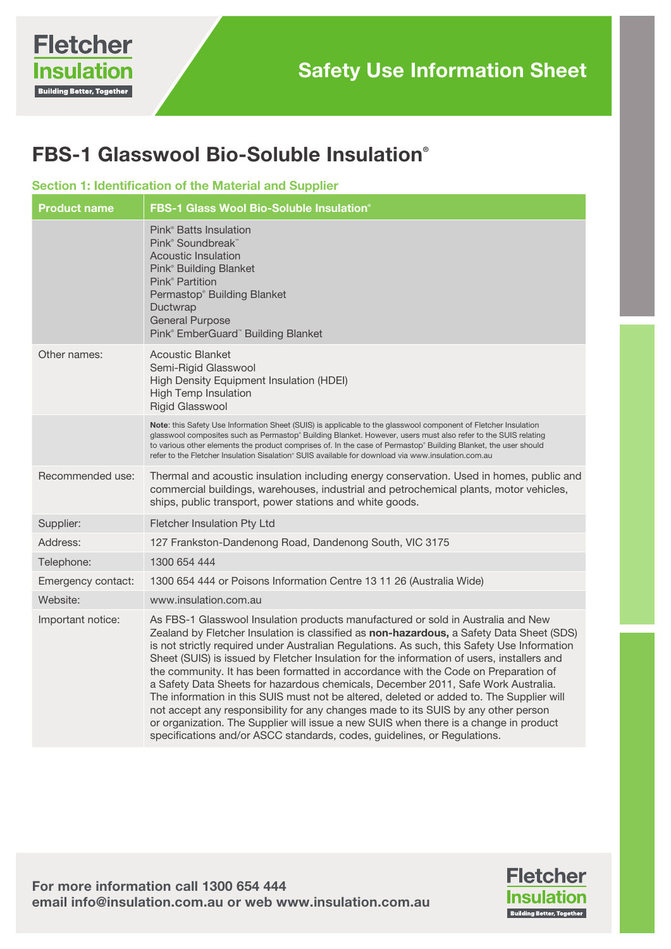# FBS-1 Glasswool Bio-Soluble Insulation®

#### Section 1: Identification of the Material and Supplier

| <b>Product name</b> | <b>FBS-1 Glass Wool Bio-Soluble Insulation®</b>                                                                                                                                                                                                                                                                                                                                                                                                                                                                                                                                                                                                                                                                                                                                                                                                                                                             |
|---------------------|-------------------------------------------------------------------------------------------------------------------------------------------------------------------------------------------------------------------------------------------------------------------------------------------------------------------------------------------------------------------------------------------------------------------------------------------------------------------------------------------------------------------------------------------------------------------------------------------------------------------------------------------------------------------------------------------------------------------------------------------------------------------------------------------------------------------------------------------------------------------------------------------------------------|
|                     | Pink <sup>®</sup> Batts Insulation<br>Pink <sup>®</sup> Soundbreak™<br><b>Acoustic Insulation</b><br>Pink <sup>®</sup> Building Blanket<br>Pink <sup>®</sup> Partition<br>Permastop® Building Blanket<br>Ductwrap<br><b>General Purpose</b><br>Pink® EmberGuard™ Building Blanket                                                                                                                                                                                                                                                                                                                                                                                                                                                                                                                                                                                                                           |
| Other names:        | <b>Acoustic Blanket</b><br>Semi-Rigid Glasswool<br>High Density Equipment Insulation (HDEI)<br><b>High Temp Insulation</b><br><b>Rigid Glasswool</b>                                                                                                                                                                                                                                                                                                                                                                                                                                                                                                                                                                                                                                                                                                                                                        |
|                     | Note: this Safety Use Information Sheet (SUIS) is applicable to the glasswool component of Fletcher Insulation<br>glasswool composites such as Permastop® Building Blanket. However, users must also refer to the SUIS relating<br>to various other elements the product comprises of. In the case of Permastop® Building Blanket, the user should<br>refer to the Fletcher Insulation Sisalation® SUIS available for download via www.insulation.com.au                                                                                                                                                                                                                                                                                                                                                                                                                                                    |
| Recommended use:    | Thermal and acoustic insulation including energy conservation. Used in homes, public and<br>commercial buildings, warehouses, industrial and petrochemical plants, motor vehicles,<br>ships, public transport, power stations and white goods.                                                                                                                                                                                                                                                                                                                                                                                                                                                                                                                                                                                                                                                              |
| Supplier:           | Fletcher Insulation Pty Ltd                                                                                                                                                                                                                                                                                                                                                                                                                                                                                                                                                                                                                                                                                                                                                                                                                                                                                 |
| Address:            | 127 Frankston-Dandenong Road, Dandenong South, VIC 3175                                                                                                                                                                                                                                                                                                                                                                                                                                                                                                                                                                                                                                                                                                                                                                                                                                                     |
| Telephone:          | 1300 654 444                                                                                                                                                                                                                                                                                                                                                                                                                                                                                                                                                                                                                                                                                                                                                                                                                                                                                                |
| Emergency contact:  | 1300 654 444 or Poisons Information Centre 13 11 26 (Australia Wide)                                                                                                                                                                                                                                                                                                                                                                                                                                                                                                                                                                                                                                                                                                                                                                                                                                        |
| Website:            | www.insulation.com.au                                                                                                                                                                                                                                                                                                                                                                                                                                                                                                                                                                                                                                                                                                                                                                                                                                                                                       |
| Important notice:   | As FBS-1 Glasswool Insulation products manufactured or sold in Australia and New<br>Zealand by Fletcher Insulation is classified as non-hazardous, a Safety Data Sheet (SDS)<br>is not strictly required under Australian Regulations. As such, this Safety Use Information<br>Sheet (SUIS) is issued by Fletcher Insulation for the information of users, installers and<br>the community. It has been formatted in accordance with the Code on Preparation of<br>a Safety Data Sheets for hazardous chemicals, December 2011, Safe Work Australia.<br>The information in this SUIS must not be altered, deleted or added to. The Supplier will<br>not accept any responsibility for any changes made to its SUIS by any other person<br>or organization. The Supplier will issue a new SUIS when there is a change in product<br>specifications and/or ASCC standards, codes, guidelines, or Regulations. |

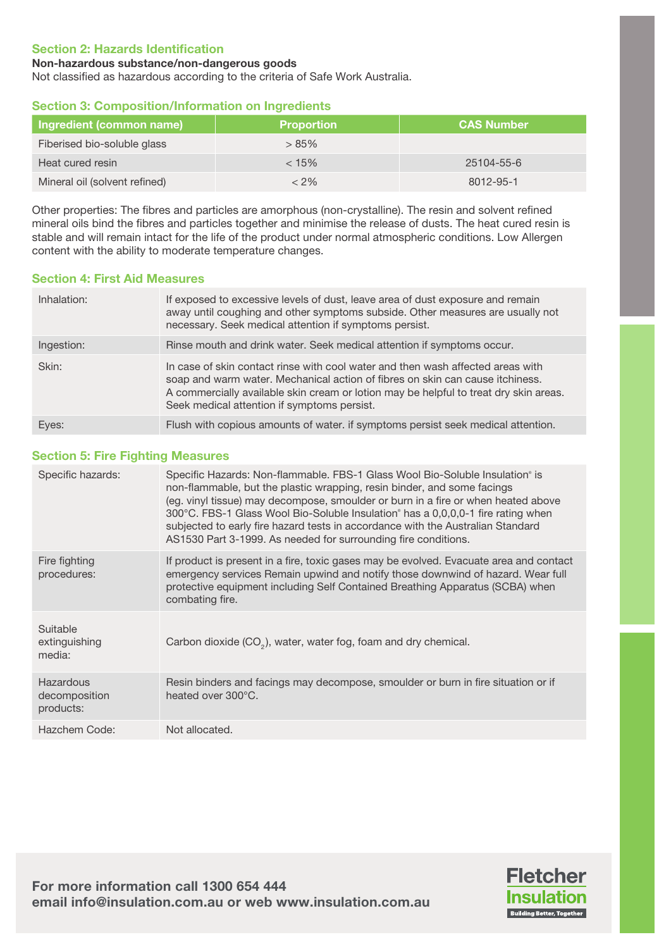#### Section 2: Hazards Identification

#### Non-hazardous substance/non-dangerous goods

Not classified as hazardous according to the criteria of Safe Work Australia.

## Section 3: Composition/Information on Ingredients

| Ingredient (common name)      | <b>Proportion</b> | <b>CAS Number</b> |
|-------------------------------|-------------------|-------------------|
| Fiberised bio-soluble glass   | >85%              |                   |
| Heat cured resin              | $< 15\%$          | $25104 - 55 - 6$  |
| Mineral oil (solvent refined) | < 2%              | 8012-95-1         |

Other properties: The fibres and particles are amorphous (non-crystalline). The resin and solvent refined mineral oils bind the fibres and particles together and minimise the release of dusts. The heat cured resin is stable and will remain intact for the life of the product under normal atmospheric conditions. Low Allergen content with the ability to moderate temperature changes.

## Section 4: First Aid Measures

| Inhalation: | If exposed to excessive levels of dust, leave area of dust exposure and remain<br>away until coughing and other symptoms subside. Other measures are usually not<br>necessary. Seek medical attention if symptoms persist.                                                                               |
|-------------|----------------------------------------------------------------------------------------------------------------------------------------------------------------------------------------------------------------------------------------------------------------------------------------------------------|
| Ingestion:  | Rinse mouth and drink water. Seek medical attention if symptoms occur.                                                                                                                                                                                                                                   |
| Skin:       | In case of skin contact rinse with cool water and then wash affected areas with<br>soap and warm water. Mechanical action of fibres on skin can cause itchiness.<br>A commercially available skin cream or lotion may be helpful to treat dry skin areas.<br>Seek medical attention if symptoms persist. |
| Eyes:       | Flush with copious amounts of water. if symptoms persist seek medical attention.                                                                                                                                                                                                                         |

## Section 5: Fire Fighting Measures

| Specific hazards:                       | Specific Hazards: Non-flammable. FBS-1 Glass Wool Bio-Soluble Insulation <sup>®</sup> is<br>non-flammable, but the plastic wrapping, resin binder, and some facings<br>(eg. vinyl tissue) may decompose, smoulder or burn in a fire or when heated above<br>300°C. FBS-1 Glass Wool Bio-Soluble Insulation° has a 0,0,0,0-1 fire rating when<br>subjected to early fire hazard tests in accordance with the Australian Standard<br>AS1530 Part 3-1999. As needed for surrounding fire conditions. |
|-----------------------------------------|---------------------------------------------------------------------------------------------------------------------------------------------------------------------------------------------------------------------------------------------------------------------------------------------------------------------------------------------------------------------------------------------------------------------------------------------------------------------------------------------------|
| Fire fighting<br>procedures:            | If product is present in a fire, toxic gases may be evolved. Evacuate area and contact<br>emergency services Remain upwind and notify those downwind of hazard. Wear full<br>protective equipment including Self Contained Breathing Apparatus (SCBA) when<br>combating fire.                                                                                                                                                                                                                     |
| Suitable<br>extinguishing<br>media:     | Carbon dioxide $(CO2)$ , water, water fog, foam and dry chemical.                                                                                                                                                                                                                                                                                                                                                                                                                                 |
| Hazardous<br>decomposition<br>products: | Resin binders and facings may decompose, smoulder or burn in fire situation or if<br>heated over 300°C.                                                                                                                                                                                                                                                                                                                                                                                           |
| Hazchem Code:                           | Not allocated.                                                                                                                                                                                                                                                                                                                                                                                                                                                                                    |

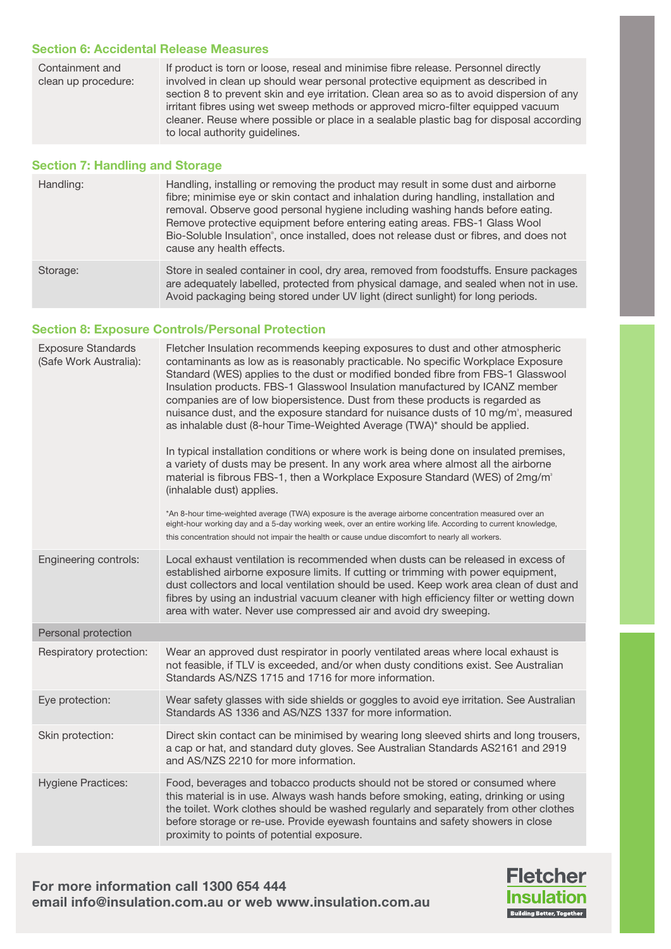### Section 6: Accidental Release Measures

| Containment and<br>clean up procedure: | If product is torn or loose, reseal and minimise fibre release. Personnel directly<br>involved in clean up should wear personal protective equipment as described in<br>section 8 to prevent skin and eye irritation. Clean area so as to avoid dispersion of any<br>irritant fibres using wet sweep methods or approved micro-filter equipped vacuum<br>cleaner. Reuse where possible or place in a sealable plastic bag for disposal according<br>to local authority guidelines. |
|----------------------------------------|------------------------------------------------------------------------------------------------------------------------------------------------------------------------------------------------------------------------------------------------------------------------------------------------------------------------------------------------------------------------------------------------------------------------------------------------------------------------------------|
|                                        |                                                                                                                                                                                                                                                                                                                                                                                                                                                                                    |

## Section 7: Handling and Storage

| Handling: | Handling, installing or removing the product may result in some dust and airborne<br>fibre; minimise eye or skin contact and inhalation during handling, installation and<br>removal. Observe good personal hygiene including washing hands before eating.<br>Remove protective equipment before entering eating areas. FBS-1 Glass Wool<br>Bio-Soluble Insulation <sup>®</sup> , once installed, does not release dust or fibres, and does not<br>cause any health effects. |
|-----------|------------------------------------------------------------------------------------------------------------------------------------------------------------------------------------------------------------------------------------------------------------------------------------------------------------------------------------------------------------------------------------------------------------------------------------------------------------------------------|
| Storage:  | Store in sealed container in cool, dry area, removed from foodstuffs. Ensure packages<br>are adequately labelled, protected from physical damage, and sealed when not in use.<br>Avoid packaging being stored under UV light (direct sunlight) for long periods.                                                                                                                                                                                                             |

# Section 8: Exposure Controls/Personal Protection

| <b>Exposure Standards</b><br>(Safe Work Australia): | Fletcher Insulation recommends keeping exposures to dust and other atmospheric<br>contaminants as low as is reasonably practicable. No specific Workplace Exposure<br>Standard (WES) applies to the dust or modified bonded fibre from FBS-1 Glasswool<br>Insulation products. FBS-1 Glasswool Insulation manufactured by ICANZ member<br>companies are of low biopersistence. Dust from these products is regarded as<br>nuisance dust, and the exposure standard for nuisance dusts of 10 mg/m <sup>3</sup> , measured<br>as inhalable dust (8-hour Time-Weighted Average (TWA)* should be applied.<br>In typical installation conditions or where work is being done on insulated premises,<br>a variety of dusts may be present. In any work area where almost all the airborne<br>material is fibrous FBS-1, then a Workplace Exposure Standard (WES) of 2mg/m <sup>3</sup><br>(inhalable dust) applies.<br>*An 8-hour time-weighted average (TWA) exposure is the average airborne concentration measured over an<br>eight-hour working day and a 5-day working week, over an entire working life. According to current knowledge,<br>this concentration should not impair the health or cause undue discomfort to nearly all workers. |
|-----------------------------------------------------|----------------------------------------------------------------------------------------------------------------------------------------------------------------------------------------------------------------------------------------------------------------------------------------------------------------------------------------------------------------------------------------------------------------------------------------------------------------------------------------------------------------------------------------------------------------------------------------------------------------------------------------------------------------------------------------------------------------------------------------------------------------------------------------------------------------------------------------------------------------------------------------------------------------------------------------------------------------------------------------------------------------------------------------------------------------------------------------------------------------------------------------------------------------------------------------------------------------------------------------------|
| Engineering controls:                               | Local exhaust ventilation is recommended when dusts can be released in excess of<br>established airborne exposure limits. If cutting or trimming with power equipment,<br>dust collectors and local ventilation should be used. Keep work area clean of dust and<br>fibres by using an industrial vacuum cleaner with high efficiency filter or wetting down<br>area with water. Never use compressed air and avoid dry sweeping.                                                                                                                                                                                                                                                                                                                                                                                                                                                                                                                                                                                                                                                                                                                                                                                                            |
| Personal protection                                 |                                                                                                                                                                                                                                                                                                                                                                                                                                                                                                                                                                                                                                                                                                                                                                                                                                                                                                                                                                                                                                                                                                                                                                                                                                              |
| Respiratory protection:                             | Wear an approved dust respirator in poorly ventilated areas where local exhaust is<br>not feasible, if TLV is exceeded, and/or when dusty conditions exist. See Australian<br>Standards AS/NZS 1715 and 1716 for more information.                                                                                                                                                                                                                                                                                                                                                                                                                                                                                                                                                                                                                                                                                                                                                                                                                                                                                                                                                                                                           |
| Eye protection:                                     | Wear safety glasses with side shields or goggles to avoid eye irritation. See Australian<br>Standards AS 1336 and AS/NZS 1337 for more information.                                                                                                                                                                                                                                                                                                                                                                                                                                                                                                                                                                                                                                                                                                                                                                                                                                                                                                                                                                                                                                                                                          |
| Skin protection:                                    | Direct skin contact can be minimised by wearing long sleeved shirts and long trousers,<br>a cap or hat, and standard duty gloves. See Australian Standards AS2161 and 2919<br>and AS/NZS 2210 for more information.                                                                                                                                                                                                                                                                                                                                                                                                                                                                                                                                                                                                                                                                                                                                                                                                                                                                                                                                                                                                                          |
| <b>Hygiene Practices:</b>                           | Food, beverages and tobacco products should not be stored or consumed where<br>this material is in use. Always wash hands before smoking, eating, drinking or using<br>the toilet. Work clothes should be washed regularly and separately from other clothes<br>before storage or re-use. Provide eyewash fountains and safety showers in close<br>proximity to points of potential exposure.                                                                                                                                                                                                                                                                                                                                                                                                                                                                                                                                                                                                                                                                                                                                                                                                                                                |

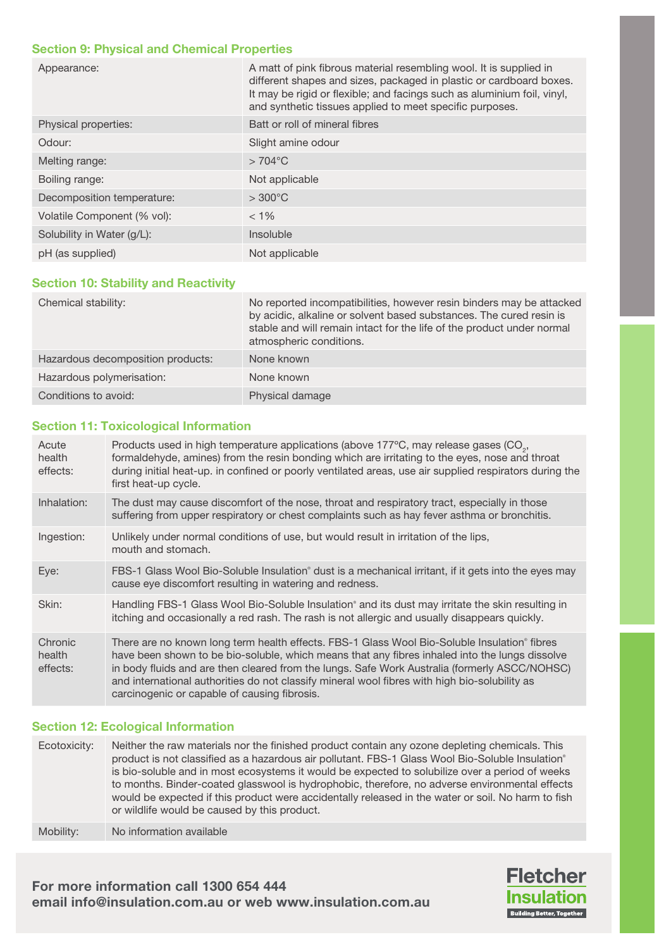#### Section 9: Physical and Chemical Properties

| Appearance:                 | A matt of pink fibrous material resembling wool. It is supplied in<br>different shapes and sizes, packaged in plastic or cardboard boxes.<br>It may be rigid or flexible; and facings such as aluminium foil, vinyl,<br>and synthetic tissues applied to meet specific purposes. |
|-----------------------------|----------------------------------------------------------------------------------------------------------------------------------------------------------------------------------------------------------------------------------------------------------------------------------|
| Physical properties:        | Batt or roll of mineral fibres                                                                                                                                                                                                                                                   |
| Odour:                      | Slight amine odour                                                                                                                                                                                                                                                               |
| Melting range:              | $>704^{\circ}$ C                                                                                                                                                                                                                                                                 |
| Boiling range:              | Not applicable                                                                                                                                                                                                                                                                   |
| Decomposition temperature:  | $>300^{\circ}$ C                                                                                                                                                                                                                                                                 |
| Volatile Component (% vol): | $< 1\%$                                                                                                                                                                                                                                                                          |
| Solubility in Water (g/L):  | Insoluble                                                                                                                                                                                                                                                                        |
| pH (as supplied)            | Not applicable                                                                                                                                                                                                                                                                   |

#### Section 10: Stability and Reactivity

| Chemical stability:               | No reported incompatibilities, however resin binders may be attacked<br>by acidic, alkaline or solvent based substances. The cured resin is<br>stable and will remain intact for the life of the product under normal<br>atmospheric conditions. |
|-----------------------------------|--------------------------------------------------------------------------------------------------------------------------------------------------------------------------------------------------------------------------------------------------|
| Hazardous decomposition products: | None known                                                                                                                                                                                                                                       |
| Hazardous polymerisation:         | None known                                                                                                                                                                                                                                       |
| Conditions to avoid:              | Physical damage                                                                                                                                                                                                                                  |

#### Section 11: Toxicological Information

| Acute<br>health<br>effects:   | Products used in high temperature applications (above 177°C, may release gases (CO <sub>2</sub> ,<br>formaldehyde, amines) from the resin bonding which are irritating to the eyes, nose and throat<br>during initial heat-up. in confined or poorly ventilated areas, use air supplied respirators during the<br>first heat-up cycle.                                                                                                           |
|-------------------------------|--------------------------------------------------------------------------------------------------------------------------------------------------------------------------------------------------------------------------------------------------------------------------------------------------------------------------------------------------------------------------------------------------------------------------------------------------|
| Inhalation:                   | The dust may cause discomfort of the nose, throat and respiratory tract, especially in those<br>suffering from upper respiratory or chest complaints such as hay fever asthma or bronchitis.                                                                                                                                                                                                                                                     |
| Ingestion:                    | Unlikely under normal conditions of use, but would result in irritation of the lips,<br>mouth and stomach.                                                                                                                                                                                                                                                                                                                                       |
| Eye:                          | FBS-1 Glass Wool Bio-Soluble Insulation <sup>®</sup> dust is a mechanical irritant, if it gets into the eyes may<br>cause eye discomfort resulting in watering and redness.                                                                                                                                                                                                                                                                      |
| Skin:                         | Handling FBS-1 Glass Wool Bio-Soluble Insulation® and its dust may irritate the skin resulting in<br>itching and occasionally a red rash. The rash is not allergic and usually disappears quickly.                                                                                                                                                                                                                                               |
| Chronic<br>health<br>effects: | There are no known long term health effects. FBS-1 Glass Wool Bio-Soluble Insulation® fibres<br>have been shown to be bio-soluble, which means that any fibres inhaled into the lungs dissolve<br>in body fluids and are then cleared from the lungs. Safe Work Australia (formerly ASCC/NOHSC)<br>and international authorities do not classify mineral wool fibres with high bio-solubility as<br>carcinogenic or capable of causing fibrosis. |

#### Section 12: Ecological Information

Ecotoxicity: Neither the raw materials nor the finished product contain any ozone depleting chemicals. This product is not classified as a hazardous air pollutant. FBS-1 Glass Wool Bio-Soluble Insulation® is bio-soluble and in most ecosystems it would be expected to solubilize over a period of weeks to months. Binder-coated glasswool is hydrophobic, therefore, no adverse environmental effects would be expected if this product were accidentally released in the water or soil. No harm to fish or wildlife would be caused by this product.

Mobility: No information available